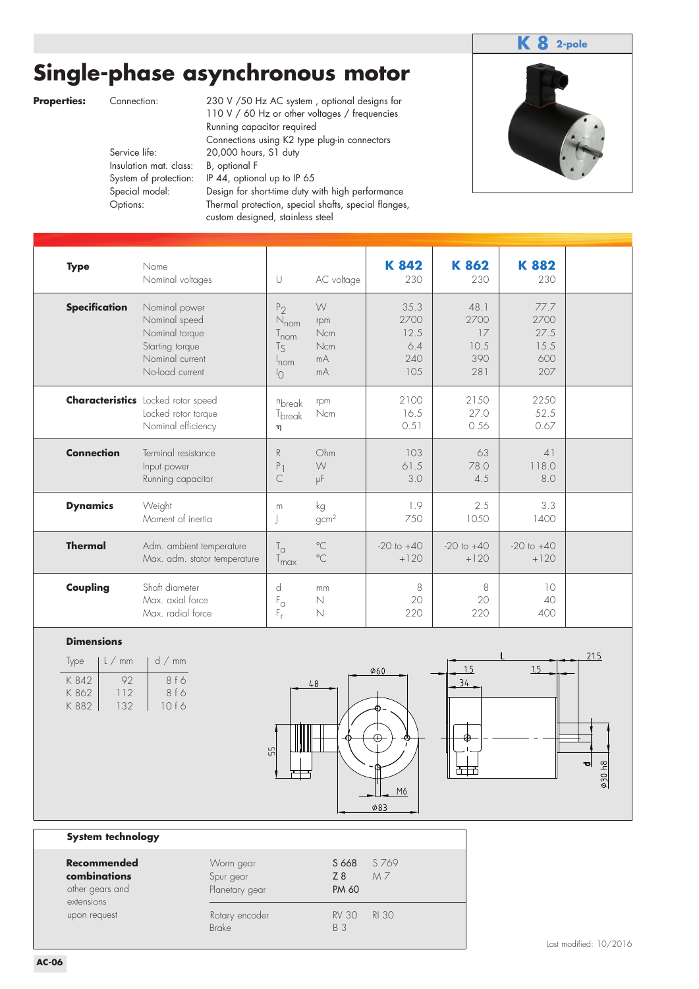# **Single-phase asynchronous motor**



|                    |                                                                                     |                                          |                                                                                                           |                                                                                                                                                                                                                                                                                                                                                                                                                                         |                                                                            |                                                     |                                           |                                          |                                            | 2-pole                 |
|--------------------|-------------------------------------------------------------------------------------|------------------------------------------|-----------------------------------------------------------------------------------------------------------|-----------------------------------------------------------------------------------------------------------------------------------------------------------------------------------------------------------------------------------------------------------------------------------------------------------------------------------------------------------------------------------------------------------------------------------------|----------------------------------------------------------------------------|-----------------------------------------------------|-------------------------------------------|------------------------------------------|--------------------------------------------|------------------------|
| <b>Properties:</b> |                                                                                     | Connection:<br>Service life:<br>Options: | Insulation mat. class:<br>System of protection:<br>Special model:                                         | Single-phase asynchronous motor<br>230 V /50 Hz AC system, optional designs for<br>110 V / 60 Hz or other voltages / frequencies<br>Running capacitor required<br>Connections using K2 type plug-in connectors<br>20,000 hours, S1 duty<br>B, optional F<br>IP 44, optional up to IP 65<br>Design for short-time duty with high performance<br>Thermal protection, special shafts, special flanges,<br>custom designed, stainless steel |                                                                            |                                                     |                                           |                                          |                                            |                        |
|                    | <b>Type</b>                                                                         |                                          | Name<br>Nominal voltages                                                                                  |                                                                                                                                                                                                                                                                                                                                                                                                                                         | $\cup$                                                                     | AC voltage                                          | K842<br>230                               | K862<br>230                              | K882<br>230                                |                        |
|                    | <b>Specification</b>                                                                |                                          | Nominal power<br>Nominal speed<br>Nominal torque<br>Starting torque<br>Nominal current<br>No-load current |                                                                                                                                                                                                                                                                                                                                                                                                                                         | P <sub>2</sub><br>$N_{nom}$<br>$T_{nom}$<br>$T_S$<br>nom<br><sup>I</sup> O | W<br>rpm<br><b>Ncm</b><br>Ncm<br>mA<br>mA           | 35.3<br>2700<br>12.5<br>6.4<br>240<br>105 | 48.1<br>2700<br>17<br>10.5<br>390<br>281 | 77.7<br>2700<br>27.5<br>15.5<br>600<br>207 |                        |
|                    |                                                                                     |                                          | <b>Characteristics</b> Locked rotor speed<br>Locked rotor torque<br>Nominal efficiency                    |                                                                                                                                                                                                                                                                                                                                                                                                                                         | nbreak<br>T <sub>break</sub><br>η                                          | rpm<br>Ncm                                          | 2100<br>16.5<br>0.51                      | 2150<br>27.0<br>0.56                     | 2250<br>52.5<br>0.67                       |                        |
|                    | <b>Connection</b>                                                                   |                                          | Terminal resistance<br>Input power<br>Running capacitor                                                   |                                                                                                                                                                                                                                                                                                                                                                                                                                         | R<br>P <sub>1</sub><br>С                                                   | Ohm<br>W<br>μF                                      | 103<br>61.5<br>3.0                        | 63<br>78.0<br>4.5                        | 41<br>118.0<br>8.0                         |                        |
|                    | <b>Dynamics</b>                                                                     |                                          | Weight<br>Moment of inertia                                                                               |                                                                                                                                                                                                                                                                                                                                                                                                                                         | m                                                                          | kg<br>gcm <sup>2</sup>                              | 1.9<br>750                                | 2.5<br>1050                              | 3.3<br>1400                                |                        |
|                    | <b>Thermal</b>                                                                      |                                          | Adm. ambient temperature<br>Max. adm. stator temperature                                                  |                                                                                                                                                                                                                                                                                                                                                                                                                                         | $T_{\alpha}$<br>T <sub>max</sub>                                           | $^{\circ}$ C<br>$^{\circ}$ C                        | $-20$ to $+40$<br>$+120$                  | $-20$ to $+40$<br>$+120$                 | $-20$ to $+40$<br>$+120$                   |                        |
|                    | Coupling                                                                            |                                          | Shaft diameter<br>Max. axial force<br>Max. radial force                                                   |                                                                                                                                                                                                                                                                                                                                                                                                                                         | d<br>$F_{\alpha}$<br>F,                                                    | mm<br>N<br>N                                        | 8<br>20<br>220                            | 8<br>20<br>220                           | 10<br>40<br>400                            |                        |
|                    | <b>Dimensions</b><br>Type<br>K 842<br>K 862<br>K 882                                | $l$ / mm<br>92<br>112<br>132             | d / mm<br>8 f 6<br>8 f 6<br>10 f 6                                                                        |                                                                                                                                                                                                                                                                                                                                                                                                                                         | 55                                                                         | 48                                                  | $\phi$ 60<br>M6<br><b>φ83</b>             | 1.5<br>34                                | 1.5                                        | 21.5<br>01060<br>ᆔ     |
|                    | System technology                                                                   |                                          |                                                                                                           |                                                                                                                                                                                                                                                                                                                                                                                                                                         |                                                                            |                                                     |                                           |                                          |                                            |                        |
|                    | <b>Recommended</b><br>combinations<br>other gears and<br>extensions<br>upon request |                                          |                                                                                                           | Worm gear<br>Spur gear<br>Planetary gear<br>Rotary encoder<br><b>Brake</b>                                                                                                                                                                                                                                                                                                                                                              |                                                                            | S 668<br>Z 8<br>PM 60<br><b>RV 30</b><br><b>B</b> 3 | S 769<br>M7<br><b>RI 30</b>               |                                          |                                            | Last modified: 10/2016 |
| <b>AC-06</b>       |                                                                                     |                                          |                                                                                                           |                                                                                                                                                                                                                                                                                                                                                                                                                                         |                                                                            |                                                     |                                           |                                          |                                            |                        |

### **Dimensions**

| Type  | l/mm | $d \nmid m$ |
|-------|------|-------------|
| K 842 | 92   | 8 f 6       |
| K 862 | 112  | 8f6         |
| K 882 | 132  | 10f6        |



### **System technology**

| Recommended<br>combinations<br>other gears and<br>extensions | Worm gear<br>Spur gear<br>Planetary gear | S 769<br>S 668<br>M <sub>7</sub><br>Z8<br><b>PM 60</b> |  |
|--------------------------------------------------------------|------------------------------------------|--------------------------------------------------------|--|
| upon request                                                 | Rotary encoder<br><b>Brake</b>           | RI 30<br><b>RV 30</b><br><b>B</b> 3                    |  |